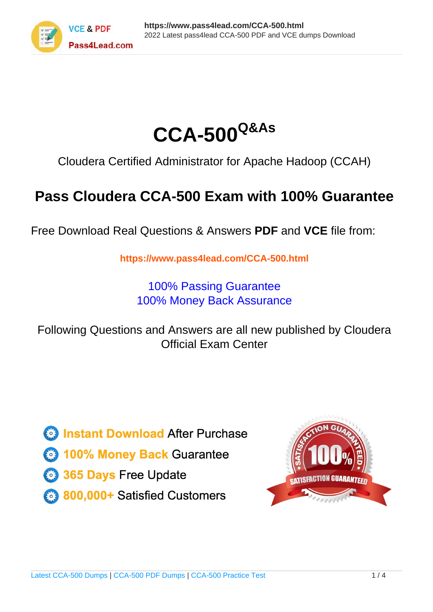



Cloudera Certified Administrator for Apache Hadoop (CCAH)

# **Pass Cloudera CCA-500 Exam with 100% Guarantee**

Free Download Real Questions & Answers **PDF** and **VCE** file from:

**https://www.pass4lead.com/CCA-500.html**

100% Passing Guarantee 100% Money Back Assurance

Following Questions and Answers are all new published by Cloudera Official Exam Center

**C** Instant Download After Purchase

**83 100% Money Back Guarantee** 

- 365 Days Free Update
- 800,000+ Satisfied Customers

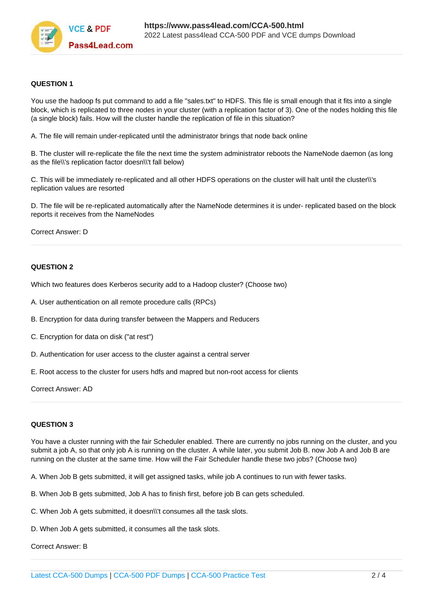

### **QUESTION 1**

You use the hadoop fs put command to add a file "sales.txt" to HDFS. This file is small enough that it fits into a single block, which is replicated to three nodes in your cluster (with a replication factor of 3). One of the nodes holding this file (a single block) fails. How will the cluster handle the replication of file in this situation?

A. The file will remain under-replicated until the administrator brings that node back online

B. The cluster will re-replicate the file the next time the system administrator reboots the NameNode daemon (as long as the file\\'s replication factor doesn\\'t fall below)

C. This will be immediately re-replicated and all other HDFS operations on the cluster will halt until the cluster\\'s replication values are resorted

D. The file will be re-replicated automatically after the NameNode determines it is under- replicated based on the block reports it receives from the NameNodes

Correct Answer: D

### **QUESTION 2**

Which two features does Kerberos security add to a Hadoop cluster? (Choose two)

- A. User authentication on all remote procedure calls (RPCs)
- B. Encryption for data during transfer between the Mappers and Reducers
- C. Encryption for data on disk ("at rest")
- D. Authentication for user access to the cluster against a central server
- E. Root access to the cluster for users hdfs and mapred but non-root access for clients

Correct Answer: AD

### **QUESTION 3**

You have a cluster running with the fair Scheduler enabled. There are currently no jobs running on the cluster, and you submit a job A, so that only job A is running on the cluster. A while later, you submit Job B. now Job A and Job B are running on the cluster at the same time. How will the Fair Scheduler handle these two jobs? (Choose two)

- A. When Job B gets submitted, it will get assigned tasks, while job A continues to run with fewer tasks.
- B. When Job B gets submitted, Job A has to finish first, before job B can gets scheduled.
- C. When Job A gets submitted, it doesn\\'t consumes all the task slots.
- D. When Job A gets submitted, it consumes all the task slots.

Correct Answer: B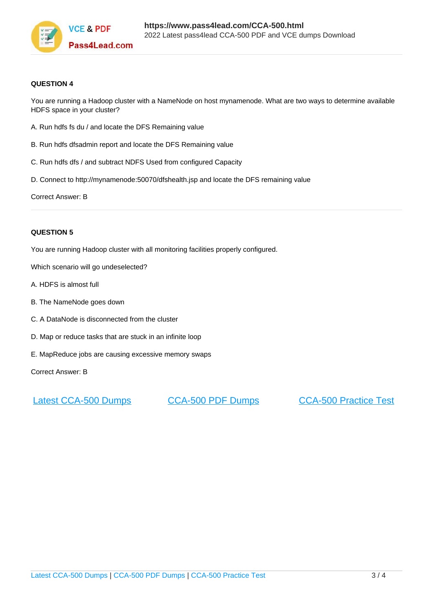

### **QUESTION 4**

You are running a Hadoop cluster with a NameNode on host mynamenode. What are two ways to determine available HDFS space in your cluster?

- A. Run hdfs fs du / and locate the DFS Remaining value
- B. Run hdfs dfsadmin report and locate the DFS Remaining value
- C. Run hdfs dfs / and subtract NDFS Used from configured Capacity
- D. Connect to http://mynamenode:50070/dfshealth.jsp and locate the DFS remaining value

Correct Answer: B

### **QUESTION 5**

You are running Hadoop cluster with all monitoring facilities properly configured.

- Which scenario will go undeselected?
- A. HDFS is almost full
- B. The NameNode goes down
- C. A DataNode is disconnected from the cluster
- D. Map or reduce tasks that are stuck in an infinite loop
- E. MapReduce jobs are causing excessive memory swaps

Correct Answer: B

[Latest CCA-500 Dumps](https://www.pass4lead.com/CCA-500.html) [CCA-500 PDF Dumps](https://www.pass4lead.com/CCA-500.html) [CCA-500 Practice Test](https://www.pass4lead.com/CCA-500.html)